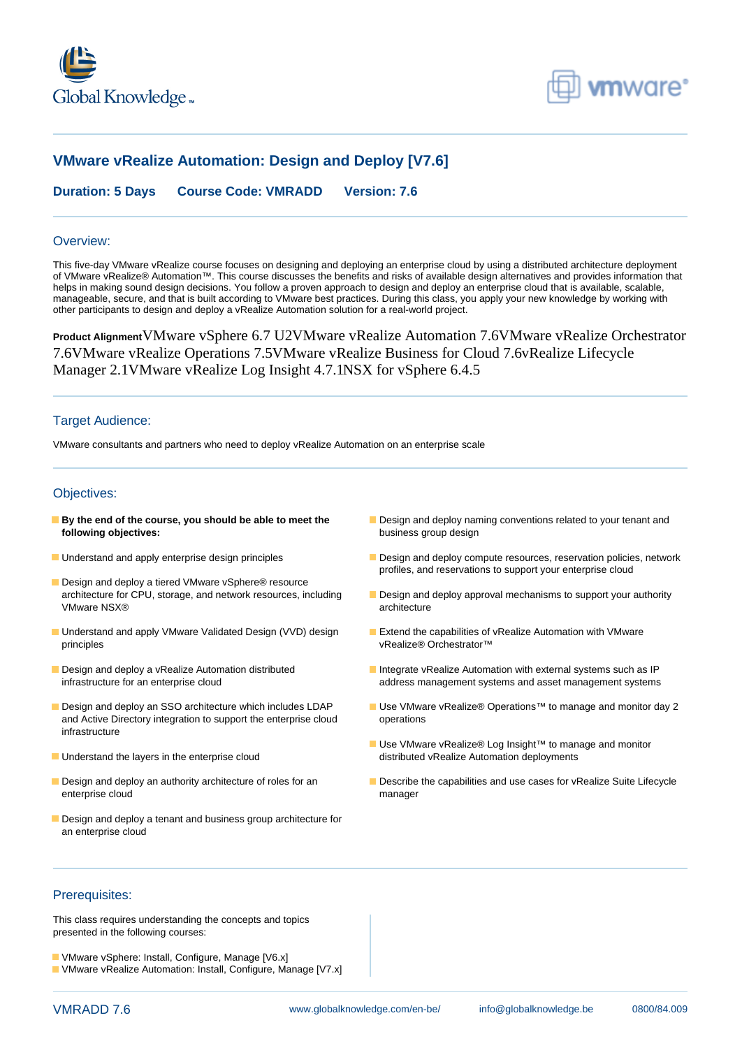



# **VMware vRealize Automation: Design and Deploy [V7.6]**

**Duration: 5 Days Course Code: VMRADD Version: 7.6**

#### Overview:

This five-day VMware vRealize course focuses on designing and deploying an enterprise cloud by using a distributed architecture deployment of VMware vRealize® Automation™. This course discusses the benefits and risks of available design alternatives and provides information that helps in making sound design decisions. You follow a proven approach to design and deploy an enterprise cloud that is available, scalable, manageable, secure, and that is built according to VMware best practices. During this class, you apply your new knowledge by working with other participants to design and deploy a vRealize Automation solution for a real-world project.

**Product Alignment**VMware vSphere 6.7 U2VMware vRealize Automation 7.6VMware vRealize Orchestrator 7.6VMware vRealize Operations 7.5VMware vRealize Business for Cloud 7.6vRealize Lifecycle Manager 2.1VMware vRealize Log Insight 4.7.1NSX for vSphere 6.4.5

#### Target Audience:

VMware consultants and partners who need to deploy vRealize Automation on an enterprise scale

### Objectives:

- **following objectives:** business group design
- 
- Design and deploy a tiered VMware vSphere® resource<br>architecture for CPU, storage, and network resources, including VMware NSX® and the state of the state of the state of the state of the state of the state of the state of the state of the state of the state of the state of the state of the state of the state of the state of the state o
- Understand and apply VMware Validated Design (VVD) design Extend the capabilities of vRealize Automation with VMware principles vRealize® Orchestrator™
- 
- and Active Directory integration to support the enterprise cloud operations infrastructure
- 
- enterprise cloud manager
- Design and deploy a tenant and business group architecture for an enterprise cloud
- **By the end of the course, you should be able to meet the Design and deploy naming conventions related to your tenant and**
- **Understand and apply enterprise design principles** Design and deploy compute resources, reservation policies, network profiles, and reservations to support your enterprise cloud
	- **Design and deploy approval mechanisms to support your authority**
	-
- Design and deploy a vRealize Automation distributed Integrate vRealize Automation with external systems such as IP infrastructure for an enterprise cloud and a statement systems and asset management systems and asset management systems
- Design and deploy an SSO architecture which includes LDAP Use VMware vRealize® Operations™ to manage and monitor day 2
- Use VMware vRealize® Log Insight™ to manage and monitor ■ Understand the layers in the enterprise cloud distributed vRealize Automation deployments
- Design and deploy an authority architecture of roles for an Describe the capabilities and use cases for vRealize Suite Lifecycle

## Prerequisites:

This class requires understanding the concepts and topics presented in the following courses:

- **U** VMware vSphere: Install, Configure, Manage [V6.x]
- VMware vRealize Automation: Install, Configure, Manage [V7.x]